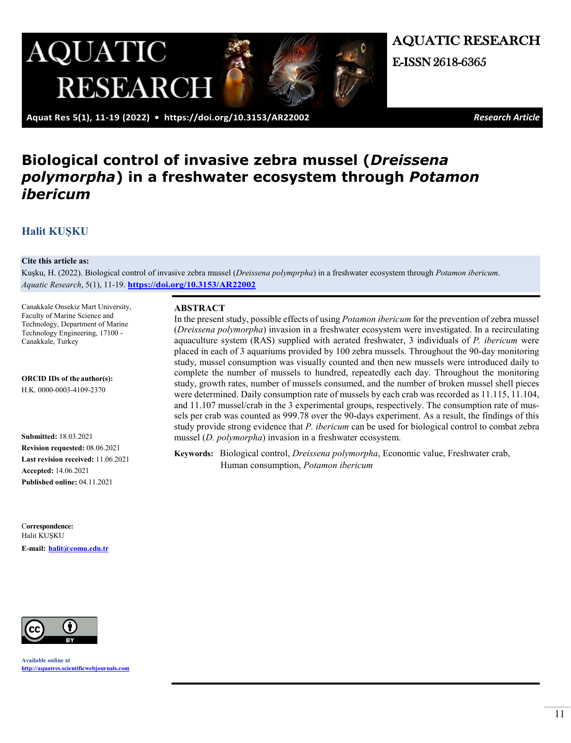

AQUATIC RESEARCH

 **Aquat Res 5(1), 11-19 (2022) • <https://doi.org/10.3153/AR22002>***Research Article*

# **Biological control of invasive zebra mussel (***Dreissena polymorpha***) in a freshwater ecosystem through** *Potamon ibericum*

# **[Halit KUŞKU](https://orcid.org/0000-0003-4109-2370)**

#### **Cite this article as:**

Kuşku, H. (2022). Biological control of invasive zebra mussel (*Dreissena polymprpha*) in a freshwater ecosystem through *Potamon ibericum*. *Aquatic Research*, 5(1), 11-19. **<https://doi.org/10.3153/AR22002>**

Canakkale Onsekiz Mart University, Faculty of Marine Science and Technology, Department of Marine Technology Engineering, 17100 - Canakkale, Turkey

**ORCID IDs of the author(s):**  H.K. 0000-0003-4109-2370

**Submitted:** 18.03.2021 **Revision requested:** 08.06.2021 **Last revision received:** 11.06.2021 **Accepted:** 14.06.2021 **Published online:** 04.11.2021

C**orrespondence:**  Halit KUŞKU **E-mail: [halit@comu.edu.tr](mailto:halit@comu.edu.tr)**



**Available online at [http://aquatres.scientificwebjournals.com](http://aquatres.scientificwebjournals.com/)**

#### **ABSTRACT**

In the present study, possible effects of using *Potamon ibericum* for the prevention of zebra mussel (*Dreissena polymorpha*) invasion in a freshwater ecosystem were investigated. In a recirculating aquaculture system (RAS) supplied with aerated freshwater, 3 individuals of *P. ibericum* were placed in each of 3 aquariums provided by 100 zebra mussels. Throughout the 90-day monitoring study, mussel consumption was visually counted and then new mussels were introduced daily to complete the number of mussels to hundred, repeatedly each day. Throughout the monitoring study, growth rates, number of mussels consumed, and the number of broken mussel shell pieces were determined. Daily consumption rate of mussels by each crab was recorded as 11.115, 11.104, and 11.107 mussel/crab in the 3 experimental groups, respectively. The consumption rate of mussels per crab was counted as 999.78 over the 90-days experiment. As a result, the findings of this study provide strong evidence that *P. ibericum* can be used for biological control to combat zebra mussel (*D. polymorpha*) invasion in a freshwater ecosystem.

**Keywords:** Biological control, *Dreissena polymorpha*, Economic value, Freshwater crab, Human consumption, *Potamon ibericum*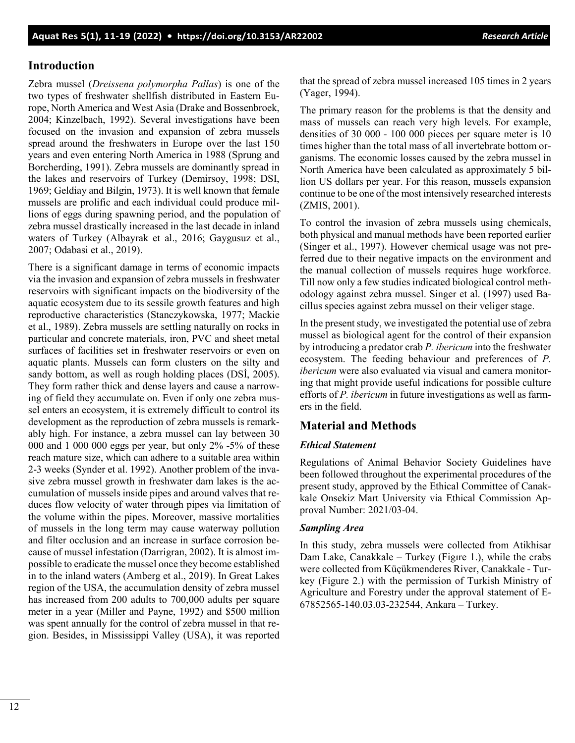# **Introduction**

Zebra mussel (*Dreissena polymorpha Pallas*) is one of the two types of freshwater shellfish distributed in Eastern Europe, North America and West Asia (Drake and Bossenbroek, 2004; Kinzelbach, 1992). Several investigations have been focused on the invasion and expansion of zebra mussels spread around the freshwaters in Europe over the last 150 years and even entering North America in 1988 (Sprung and Borcherding, 1991). Zebra mussels are dominantly spread in the lakes and reservoirs of Turkey (Demirsoy, 1998; DSI, 1969; Geldiay and Bilgin, 1973). It is well known that female mussels are prolific and each individual could produce millions of eggs during spawning period, and the population of zebra mussel drastically increased in the last decade in inland waters of Turkey (Albayrak et al., 2016; Gaygusuz et al., 2007; Odabasi et al., 2019).

There is a significant damage in terms of economic impacts via the invasion and expansion of zebra mussels in freshwater reservoirs with significant impacts on the biodiversity of the aquatic ecosystem due to its sessile growth features and high reproductive characteristics (Stanczykowska, 1977; Mackie et al., 1989). Zebra mussels are settling naturally on rocks in particular and concrete materials, iron, PVC and sheet metal surfaces of facilities set in freshwater reservoirs or even on aquatic plants. Mussels can form clusters on the silty and sandy bottom, as well as rough holding places (DSİ, 2005). They form rather thick and dense layers and cause a narrowing of field they accumulate on. Even if only one zebra mussel enters an ecosystem, it is extremely difficult to control its development as the reproduction of zebra mussels is remarkably high. For instance, a zebra mussel can lay between 30 000 and 1 000 000 eggs per year, but only 2% -5% of these reach mature size, which can adhere to a suitable area within 2-3 weeks (Synder et al. 1992). Another problem of the invasive zebra mussel growth in freshwater dam lakes is the accumulation of mussels inside pipes and around valves that reduces flow velocity of water through pipes via limitation of the volume within the pipes. Moreover, massive mortalities of mussels in the long term may cause waterway pollution and filter occlusion and an increase in surface corrosion because of mussel infestation (Darrigran, 2002). It is almost impossible to eradicate the mussel once they become established in to the inland waters (Amberg et al., 2019). In Great Lakes region of the USA, the accumulation density of zebra mussel has increased from 200 adults to 700,000 adults per square meter in a year (Miller and Payne, 1992) and \$500 million was spent annually for the control of zebra mussel in that region. Besides, in Mississippi Valley (USA), it was reported

that the spread of zebra mussel increased 105 times in 2 years (Yager, 1994).

The primary reason for the problems is that the density and mass of mussels can reach very high levels. For example, densities of 30 000 - 100 000 pieces per square meter is 10 times higher than the total mass of all invertebrate bottom organisms. The economic losses caused by the zebra mussel in North America have been calculated as approximately 5 billion US dollars per year. For this reason, mussels expansion continue to be one of the most intensively researched interests (ZMIS, 2001).

To control the invasion of zebra mussels using chemicals, both physical and manual methods have been reported earlier (Singer et al., 1997). However chemical usage was not preferred due to their negative impacts on the environment and the manual collection of mussels requires huge workforce. Till now only a few studies indicated biological control methodology against zebra mussel. Singer et al. (1997) used Bacillus species against zebra mussel on their veliger stage.

In the present study, we investigated the potential use of zebra mussel as biological agent for the control of their expansion by introducing a predator crab *P. ibericum* into the freshwater ecosystem. The feeding behaviour and preferences of *P. ibericum* were also evaluated via visual and camera monitoring that might provide useful indications for possible culture efforts of *P. ibericum* in future investigations as well as farmers in the field.

# **Material and Methods**

# *Ethical Statement*

Regulations of Animal Behavior Society Guidelines have been followed throughout the experimental procedures of the present study, approved by the Ethical Committee of Canakkale Onsekiz Mart University via Ethical Commission Approval Number: 2021/03-04.

### *Sampling Area*

In this study, zebra mussels were collected from Atikhisar Dam Lake, Canakkale – Turkey (Figıre 1.), while the crabs were collected from Küçükmenderes River, Canakkale - Turkey (Figure 2.) with the permission of Turkish Ministry of Agriculture and Forestry under the approval statement of E-67852565-140.03.03-232544, Ankara – Turkey.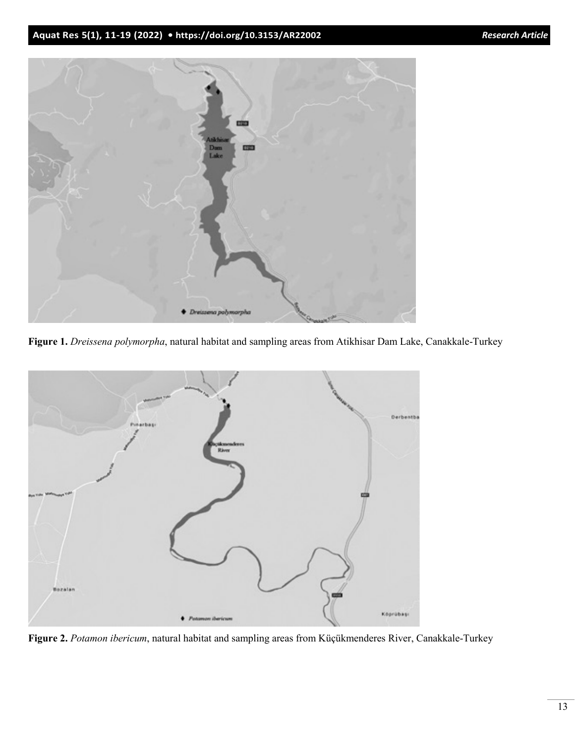

**Figure 1.** *Dreissena polymorpha*, natural habitat and sampling areas from Atikhisar Dam Lake, Canakkale-Turkey



**Figure 2.** *Potamon ibericum*, natural habitat and sampling areas from Küçükmenderes River, Canakkale-Turkey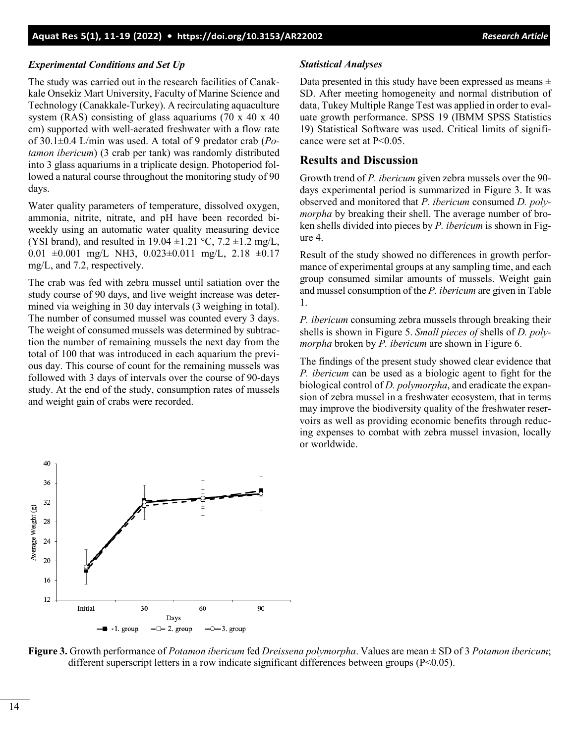### *Experimental Conditions and Set Up*

The study was carried out in the research facilities of Canakkale Onsekiz Mart University, Faculty of Marine Science and Technology (Canakkale-Turkey). A recirculating aquaculture system (RAS) consisting of glass aquariums (70 x 40 x 40 cm) supported with well-aerated freshwater with a flow rate of 30.1±0.4 L/min was used. A total of 9 predator crab (*Potamon ibericum*) (3 crab per tank) was randomly distributed into 3 glass aquariums in a triplicate design. Photoperiod followed a natural course throughout the monitoring study of 90 days.

Water quality parameters of temperature, dissolved oxygen, ammonia, nitrite, nitrate, and pH have been recorded biweekly using an automatic water quality measuring device (YSI brand), and resulted in 19.04  $\pm$ 1.21 °C, 7.2  $\pm$ 1.2 mg/L, 0.01  $\pm 0.001$  mg/L NH3, 0.023 $\pm 0.011$  mg/L, 2.18  $\pm 0.17$ mg/L, and 7.2, respectively.

The crab was fed with zebra mussel until satiation over the study course of 90 days, and live weight increase was determined via weighing in 30 day intervals (3 weighing in total). The number of consumed mussel was counted every 3 days. The weight of consumed mussels was determined by subtraction the number of remaining mussels the next day from the total of 100 that was introduced in each aquarium the previous day. This course of count for the remaining mussels was followed with 3 days of intervals over the course of 90-days study. At the end of the study, consumption rates of mussels and weight gain of crabs were recorded.

#### *Statistical Analyses*

Data presented in this study have been expressed as means  $\pm$ SD. After meeting homogeneity and normal distribution of data, Tukey Multiple Range Test was applied in order to evaluate growth performance. SPSS 19 (IBMM SPSS Statistics 19) Statistical Software was used. Critical limits of significance were set at P<0.05.

# **Results and Discussion**

Growth trend of *P. ibericum* given zebra mussels over the 90 days experimental period is summarized in Figure 3. It was observed and monitored that *P. ibericum* consumed *D. polymorpha* by breaking their shell. The average number of broken shells divided into pieces by *P. ibericum* is shown in Figure 4.

Result of the study showed no differences in growth performance of experimental groups at any sampling time, and each group consumed similar amounts of mussels. Weight gain and mussel consumption of the *P. ibericum* are given in Table 1.

*P. ibericum* consuming zebra mussels through breaking their shells is shown in Figure 5. *Small pieces of* shells of *D. polymorpha* broken by *P. ibericum* are shown in Figure 6.

The findings of the present study showed clear evidence that *P. ibericum* can be used as a biologic agent to fight for the biological control of *D. polymorpha*, and eradicate the expansion of zebra mussel in a freshwater ecosystem, that in terms may improve the biodiversity quality of the freshwater reservoirs as well as providing economic benefits through reducing expenses to combat with zebra mussel invasion, locally or worldwide.



**Figure 3.** Growth performance of *Potamon ibericum* fed *Dreissena polymorpha*. Values are mean ± SD of 3 *Potamon ibericum*; different superscript letters in a row indicate significant differences between groups ( $P<0.05$ ).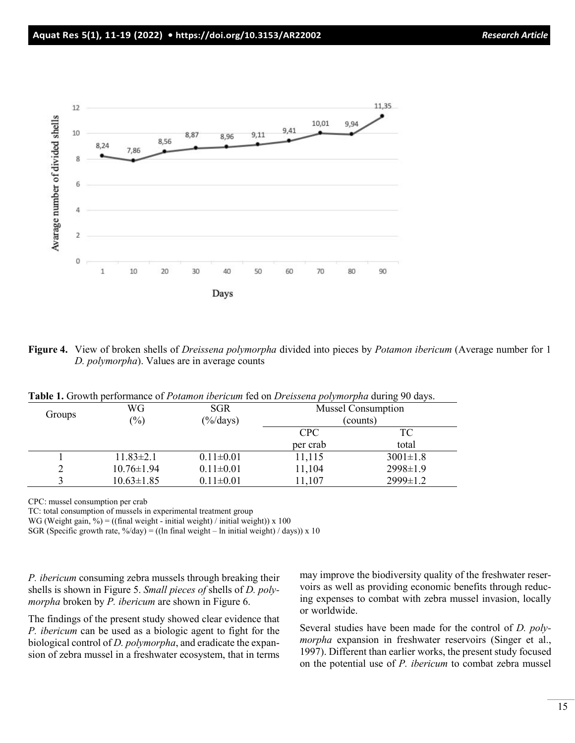

**Figure 4.** View of broken shells of *Dreissena polymorpha* divided into pieces by *Potamon ibericum* (Average number for 1 *D. polymorpha*). Values are in average counts

| Groups | WG<br>$\left(\frac{0}{0}\right)$ | <b>SGR</b><br>$(\frac{9}{6}$ days) | <b>Mussel Consumption</b><br>(counts) |                |
|--------|----------------------------------|------------------------------------|---------------------------------------|----------------|
|        |                                  |                                    | CPC                                   | TC             |
|        |                                  |                                    | per crab                              | total          |
|        | $11.83 \pm 2.1$                  | $0.11 \pm 0.01$                    | 11,115                                | $3001 \pm 1.8$ |
|        | $10.76 \pm 1.94$                 | $0.11 \pm 0.01$                    | 11,104                                | 2998±1.9       |
|        | $10.63 \pm 1.85$                 | $0.11 \pm 0.01$                    | 11,107                                | 2999±1.2       |

**Table 1.** Growth performance of *Potamon ibericum* fed on *Dreissena polymorpha* during 90 days.

CPC: mussel consumption per crab

TC: total consumption of mussels in experimental treatment group

WG (Weight gain, %) = ((final weight - initial weight) / initial weight)) x 100

SGR (Specific growth rate,  $\frac{\partial}{\partial}$  /day) = ((ln final weight – ln initial weight) / days)) x 10

*P. ibericum* consuming zebra mussels through breaking their shells is shown in Figure 5. *Small pieces of* shells of *D. polymorpha* broken by *P. ibericum* are shown in Figure 6.

The findings of the present study showed clear evidence that *P. ibericum* can be used as a biologic agent to fight for the biological control of *D. polymorpha*, and eradicate the expansion of zebra mussel in a freshwater ecosystem, that in terms may improve the biodiversity quality of the freshwater reservoirs as well as providing economic benefits through reducing expenses to combat with zebra mussel invasion, locally or worldwide.

Several studies have been made for the control of *D. polymorpha* expansion in freshwater reservoirs (Singer et al., 1997). Different than earlier works, the present study focused on the potential use of *P. ibericum* to combat zebra mussel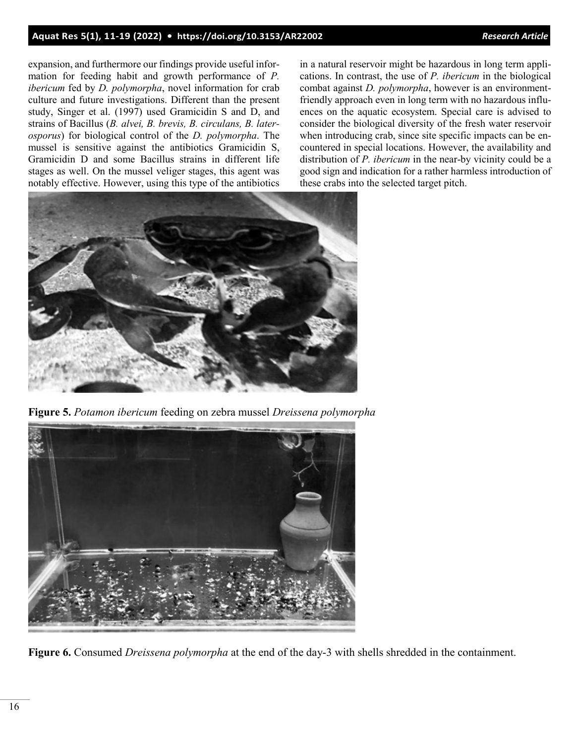# **Aquat Res 5(1), 11-19 (2022) • <https://doi.org/10.3153/AR22002>***Research Article*

expansion, and furthermore our findings provide useful information for feeding habit and growth performance of *P. ibericum* fed by *D. polymorpha*, novel information for crab culture and future investigations. Different than the present study, Singer et al. (1997) used Gramicidin S and D, and strains of Bacillus (*B. alvei, B. brevis, B. circulans, B. laterosporus*) for biological control of the *D. polymorpha*. The mussel is sensitive against the antibiotics Gramicidin S, Gramicidin D and some Bacillus strains in different life stages as well. On the mussel veliger stages, this agent was notably effective. However, using this type of the antibiotics

in a natural reservoir might be hazardous in long term applications. In contrast, the use of *P. ibericum* in the biological combat against *D. polymorpha*, however is an environmentfriendly approach even in long term with no hazardous influences on the aquatic ecosystem. Special care is advised to consider the biological diversity of the fresh water reservoir when introducing crab, since site specific impacts can be encountered in special locations. However, the availability and distribution of *P. ibericum* in the near-by vicinity could be a good sign and indication for a rather harmless introduction of these crabs into the selected target pitch.



**Figure 5.** *Potamon ibericum* feeding on zebra mussel *Dreissena polymorpha*



**Figure 6.** Consumed *Dreissena polymorpha* at the end of the day-3 with shells shredded in the containment.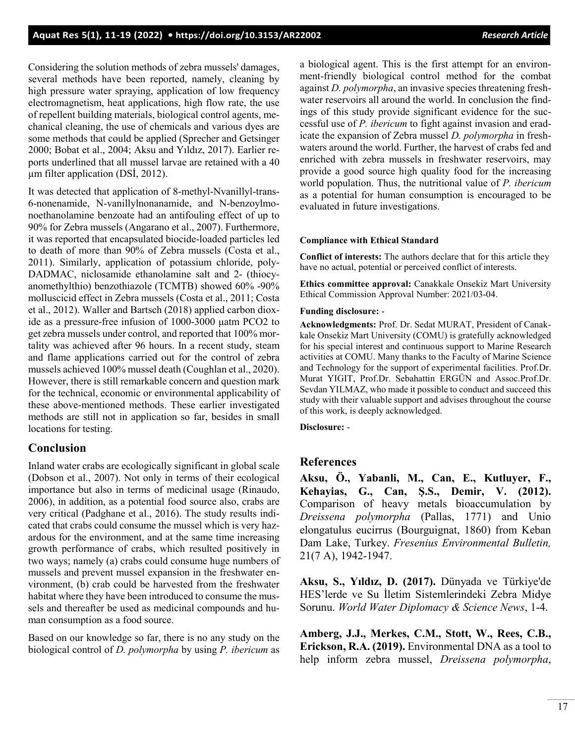Considering the solution methods of zebra mussels' damages, several methods have been reported, namely, cleaning by high pressure water spraying, application of low frequency electromagnetism, heat applications, high flow rate, the use of repellent building materials, biological control agents, mechanical cleaning, the use of chemicals and various dyes are some methods that could be applied (Sprecher and Getsinger 2000; Bobat et al., 2004; Aksu and Yıldız, 2017). Earlier reports underlined that all mussel larvae are retained with a 40 µm filter application (DSİ, 2012).

It was detected that application of 8-methyl-Nvanillyl-trans-6-nonenamide, N-vanillylnonanamide, and N-benzoylmonoethanolamine benzoate had an antifouling effect of up to 90% for Zebra mussels (Angarano et al., 2007). Furthermore, it was reported that encapsulated biocide-loaded particles led to death of more than 90% of Zebra mussels (Costa et al., 2011). Similarly, application of potassium chloride, poly-DADMAC, niclosamide ethanolamine salt and 2- (thiocyanomethylthio) benzothiazole (TCMTB) showed 60% -90% molluscicid effect in Zebra mussels (Costa et al., 2011; Costa et al., 2012). Waller and Bartsch (2018) applied carbon dioxide as a pressure-free infusion of 1000-3000 μatm PCO2 to get zebra mussels under control, and reported that 100% mortality was achieved after 96 hours. In a recent study, steam and flame applications carried out for the control of zebra mussels achieved 100% mussel death (Coughlan et al., 2020). However, there is still remarkable concern and question mark for the technical, economic or environmental applicability of these above-mentioned methods. These earlier investigated methods are still not in application so far, besides in small locations for testing.

# **Conclusion**

Inland water crabs are ecologically significant in global scale (Dobson et al., 2007). Not only in terms of their ecological importance but also in terms of medicinal usage (Rinaudo, 2006), in addition, as a potential food source also, crabs are very critical (Padghane et al., 2016). The study results indicated that crabs could consume the mussel which is very hazardous for the environment, and at the same time increasing growth performance of crabs, which resulted positively in two ways; namely (a) crabs could consume huge numbers of mussels and prevent mussel expansion in the freshwater environment, (b) crab could be harvested from the freshwater habitat where they have been introduced to consume the mussels and thereafter be used as medicinal compounds and human consumption as a food source.

Based on our knowledge so far, there is no any study on the biological control of *D. polymorpha* by using *P. ibericum* as a biological agent. This is the first attempt for an environment-friendly biological control method for the combat against *D. polymorpha*, an invasive species threatening freshwater reservoirs all around the world. In conclusion the findings of this study provide significant evidence for the successful use of *P. ibericum* to fight against invasion and eradicate the expansion of Zebra mussel *D. polymorpha* in freshwaters around the world. Further, the harvest of crabs fed and enriched with zebra mussels in freshwater reservoirs, may provide a good source high quality food for the increasing world population. Thus, the nutritional value of *P. ibericum* as a potential for human consumption is encouraged to be evaluated in future investigations.

#### **Compliance with Ethical Standard**

**Conflict of interests:** The authors declare that for this article they have no actual, potential or perceived conflict of interests.

**Ethics committee approval:** Canakkale Onsekiz Mart University Ethical Commission Approval Number: 2021/03-04.

#### **Funding disclosure:** -

**Acknowledgments:** Prof. Dr. Sedat MURAT, President of Canakkale Onsekiz Mart University (COMU) is gratefully acknowledged for his special interest and continuous support to Marine Research activities at COMU. Many thanks to the Faculty of Marine Science and Technology for the support of experimental facilities. Prof.Dr. Murat YIGIT, Prof.Dr. Sebahattin ERGÜN and Assoc.Prof.Dr. Sevdan YILMAZ, who made it possible to conduct and succeed this study with their valuable support and advises throughout the course of this work, is deeply acknowledged.

**Disclosure:** -

#### **References**

**Aksu, Ö., Yabanli, M., Can, E., Kutluyer, F., Kehayias, G., Can, Ş.S., Demir, V. (2012).** Comparison of heavy metals bioaccumulation by *Dreissena polymorpha* (Pallas, 1771) and Unio elongatulus eucirrus (Bourguignat, 1860) from Keban Dam Lake, Turkey. *Fresenius Environmental Bulletin,*  21(7 A), 1942-1947.

**Aksu, S., Yıldız, D. (2017).** Dünyada ve Türkiye'de HES'lerde ve Su İletim Sistemlerindeki Zebra Midye Sorunu. *World Water Diplomacy & Science News*, 1-4.

**Amberg, J.J., Merkes, C.M., Stott, W., Rees, C.B., Erickson, R.A. (2019).** Environmental DNA as a tool to help inform zebra mussel, *Dreissena polymorpha*,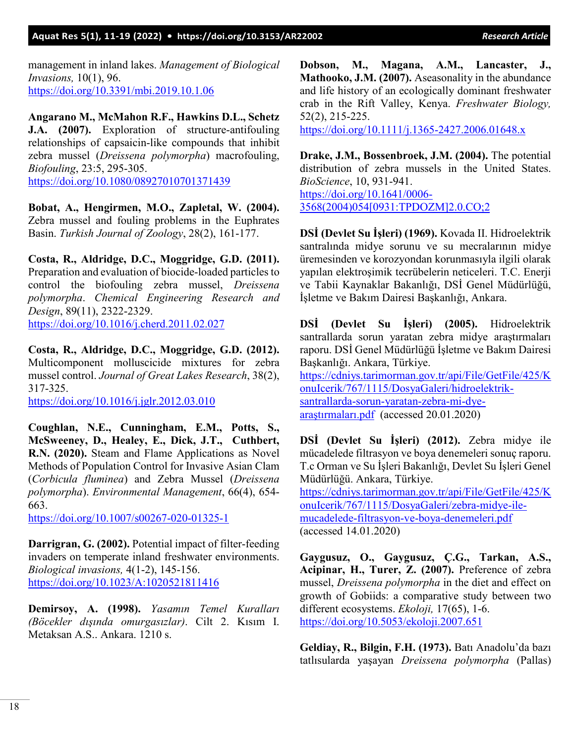### **Aquat Res 5(1), 11-19 (2022) • <https://doi.org/10.3153/AR22002>***Research Article*

management in inland lakes. *Management of Biological Invasions,* 10(1), 96. <https://doi.org/10.3391/mbi.2019.10.1.06>

**Angarano M., McMahon R.F., Hawkins D.L., Schetz J.A. (2007).** Exploration of structure-antifouling relationships of capsaicin-like compounds that inhibit zebra mussel (*Dreissena polymorpha*) macrofouling, *Biofouling*, 23:5, 295-305. <https://doi.org/10.1080/08927010701371439>

**Bobat, A., Hengirmen, M.O., Zapletal, W. (2004).** Zebra mussel and fouling problems in the Euphrates Basin. *Turkish Journal of Zoology*, 28(2), 161-177.

**Costa, R., Aldridge, D.C., Moggridge, G.D. (2011).** Preparation and evaluation of biocide-loaded particles to control the biofouling zebra mussel, *Dreissena polymorpha*. *Chemical Engineering Research and Design*, 89(11), 2322-2329. <https://doi.org/10.1016/j.cherd.2011.02.027>

**Costa, R., Aldridge, D.C., Moggridge, G.D. (2012).** Multicomponent molluscicide mixtures for zebra mussel control. *Journal of Great Lakes Research*, 38(2), 317-325.

<https://doi.org/10.1016/j.jglr.2012.03.010>

**Coughlan, N.E., Cunningham, E.M., Potts, S., McSweeney, D., Healey, E., Dick, J.T., Cuthbert, R.N. (2020).** Steam and Flame Applications as Novel Methods of Population Control for Invasive Asian Clam (*Corbicula fluminea*) and Zebra Mussel (*Dreissena polymorpha*). *Environmental Management*, 66(4), 654- 663.

[https://doi.org/10.1007/s00267](https://doi.org/10.1007/s00267-020-01325-1)-020-01325-1

**Darrigran, G. (2002).** Potential impact of filter-feeding invaders on temperate inland freshwater environments. *Biological invasions,* 4(1-2), 145-156. <https://doi.org/10.1023/A:1020521811416>

**Demirsoy, A. (1998).** *Yasamın Temel Kuralları (Böcekler dışında omurgasızlar)*. Cilt 2. Kısım I. Metaksan A.S.. Ankara. 1210 s.

**Dobson, M., Magana, A.M., Lancaster, J., Mathooko, J.M. (2007).** Aseasonality in the abundance and life history of an ecologically dominant freshwater crab in the Rift Valley, Kenya. *Freshwater Biology,* 52(2), 215-225.

[https://doi.org/10.1111/j.1365](https://doi.org/10.1111/j.1365-2427.2006.01648.x)-2427.2006.01648.x

**Drake, J.M., Bossenbroek, J.M. (2004).** The potential distribution of zebra mussels in the United States. *BioScience*, 10, 931-941. [https://doi.org/10.1641/0006](https://doi.org/10.1641/0006-3568(2004)054%5b0931:TPDOZM%5d2.0.CO;2)- [3568\(2004\)054\[0931:TPDOZM\]2.0.CO;2](https://doi.org/10.1641/0006-3568(2004)054%5b0931:TPDOZM%5d2.0.CO;2)

**DSİ (Devlet Su İşleri) (1969).** Kovada II. Hidroelektrik santralında midye sorunu ve su mecralarının midye üremesinden ve korozyondan korunmasıyla ilgili olarak yapılan elektroşimik tecrübelerin neticeleri. T.C. Enerji ve Tabii Kaynaklar Bakanlığı, DSİ Genel Müdürlüğü, İşletme ve Bakım Dairesi Başkanlığı, Ankara.

**DSİ (Devlet Su İşleri) (2005).** Hidroelektrik santrallarda sorun yaratan zebra midye araştırmaları raporu. DSİ Genel Müdürlüğü İşletme ve Bakım Dairesi Başkanlığı. Ankara, Türkiye.

[https://cdniys.tarimorman.gov.tr/api/File/GetFile/425/K](https://cdniys.tarimorman.gov.tr/api/File/GetFile/425/KonuIcerik/767/1115/DosyaGaleri/hidroelektrik-santrallarda-sorun-yaratan-zebra-mi-dye-ara%C5%9Ft%C4%B1rmalar%C4%B1.pdf) [onuIcerik/767/1115/DosyaGaleri/hidroelektrik](https://cdniys.tarimorman.gov.tr/api/File/GetFile/425/KonuIcerik/767/1115/DosyaGaleri/hidroelektrik-santrallarda-sorun-yaratan-zebra-mi-dye-ara%C5%9Ft%C4%B1rmalar%C4%B1.pdf)santrallarda[-sorun-yaratan-zebra-mi-](https://cdniys.tarimorman.gov.tr/api/File/GetFile/425/KonuIcerik/767/1115/DosyaGaleri/hidroelektrik-santrallarda-sorun-yaratan-zebra-mi-dye-ara%C5%9Ft%C4%B1rmalar%C4%B1.pdf)dye[araştırmaları.pdf](https://cdniys.tarimorman.gov.tr/api/File/GetFile/425/KonuIcerik/767/1115/DosyaGaleri/hidroelektrik-santrallarda-sorun-yaratan-zebra-mi-dye-ara%C5%9Ft%C4%B1rmalar%C4%B1.pdf) (accessed 20.01.2020)

**DSİ (Devlet Su İşleri) (2012).** Zebra midye ile mücadelede filtrasyon ve boya denemeleri sonuç raporu. T.c Orman ve Su İşleri Bakanlığı, Devlet Su İşleri Genel Müdürlüğü. Ankara, Türkiye.

[https://cdniys.tarimorman.gov.tr/api/File/GetFile/425/K](https://cdniys.tarimorman.gov.tr/api/File/GetFile/425/KonuIcerik/767/1115/DosyaGaleri/zebra-midye-ile-mucadelede-filtrasyon-ve-boya-denemeleri.pdf) [onuIcerik/767/1115/DosyaGaleri/zebra](https://cdniys.tarimorman.gov.tr/api/File/GetFile/425/KonuIcerik/767/1115/DosyaGaleri/zebra-midye-ile-mucadelede-filtrasyon-ve-boya-denemeleri.pdf)-midye-ilemucadelede[-filtrasyon-ve-boya-](https://cdniys.tarimorman.gov.tr/api/File/GetFile/425/KonuIcerik/767/1115/DosyaGaleri/zebra-midye-ile-mucadelede-filtrasyon-ve-boya-denemeleri.pdf)denemeleri.pdf (accessed 14.01.2020)

**Gaygusuz, O., Gaygusuz, Ç.G., Tarkan, A.S., Acipinar, H., Turer, Z. (2007).** Preference of zebra mussel, *Dreissena polymorpha* in the diet and effect on growth of Gobiids: a comparative study between two different ecosystems. *Ekoloji,* 17(65), 1-6. <https://doi.org/10.5053/ekoloji.2007.651>

**Geldiay, R., Bilgin, F.H. (1973).** Batı Anadolu'da bazı tatlısularda yaşayan *Dreissena polymorpha* (Pallas)